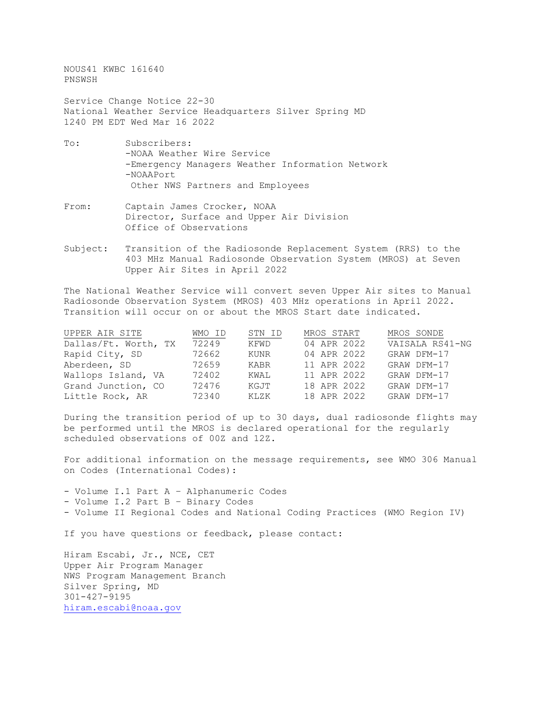NOUS41 KWBC 161640 PNSWSH

Service Change Notice 22-30 National Weather Service Headquarters Silver Spring MD 1240 PM EDT Wed Mar 16 2022

- To: Subscribers: -NOAA Weather Wire Service -Emergency Managers Weather Information Network -NOAAPort Other NWS Partners and Employees
- From: Captain James Crocker, NOAA Director, Surface and Upper Air Division Office of Observations
- Subject: Transition of the Radiosonde Replacement System (RRS) to the 403 MHz Manual Radiosonde Observation System (MROS) at Seven Upper Air Sites in April 2022

The National Weather Service will convert seven Upper Air sites to Manual Radiosonde Observation System (MROS) 403 MHz operations in April 2022. Transition will occur on or about the MROS Start date indicated.

| UPPER AIR SITE       | WMO ID | STN ID | MROS START  | MROS SONDE      |
|----------------------|--------|--------|-------------|-----------------|
| Dallas/Ft. Worth, TX | 72249  | KFWD   | 04 APR 2022 | VAISALA RS41-NG |
| Rapid City, SD       | 72662  | KUNR   | 04 APR 2022 | GRAW DFM-17     |
| Aberdeen, SD         | 72659  | KARR   | 11 APR 2022 | GRAW DFM-17     |
| Wallops Island, VA   | 72402  | KWAL   | 11 APR 2022 | GRAW DFM-17     |
| Grand Junction, CO   | 72476  | KGJT   | 18 APR 2022 | GRAW DFM-17     |
| Little Rock, AR      | 72340  | KLZK   | 18 APR 2022 | GRAW DFM-17     |

During the transition period of up to 30 days, dual radiosonde flights may be performed until the MROS is declared operational for the regularly scheduled observations of 00Z and 12Z.

For additional information on the message requirements, see WMO 306 Manual on Codes (International Codes):

- Volume I.1 Part A – Alphanumeric Codes - Volume I.2 Part B – Binary Codes - Volume II Regional Codes and National Coding Practices (WMO Region IV)

If you have questions or feedback, please contact:

Hiram Escabi, Jr., NCE, CET Upper Air Program Manager NWS Program Management Branch Silver Spring, MD 301-427-9195 [hiram.escabi@noaa.gov](mailto:hiram.escabi@noaa.gov)